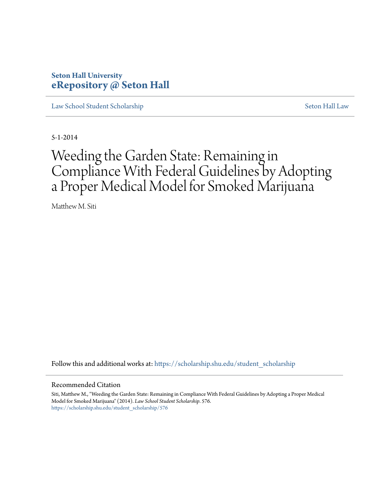# **Seton Hall University [eRepository @ Seton Hall](https://scholarship.shu.edu?utm_source=scholarship.shu.edu%2Fstudent_scholarship%2F576&utm_medium=PDF&utm_campaign=PDFCoverPages)**

[Law School Student Scholarship](https://scholarship.shu.edu/student_scholarship?utm_source=scholarship.shu.edu%2Fstudent_scholarship%2F576&utm_medium=PDF&utm_campaign=PDFCoverPages) [Seton Hall Law](https://scholarship.shu.edu/law?utm_source=scholarship.shu.edu%2Fstudent_scholarship%2F576&utm_medium=PDF&utm_campaign=PDFCoverPages)

5-1-2014

# Weeding the Garden State: Remaining in Compliance With Federal Guidelines by Adopting a Proper Medical Model for Smoked Marijuana

Matthew M. Siti

Follow this and additional works at: [https://scholarship.shu.edu/student\\_scholarship](https://scholarship.shu.edu/student_scholarship?utm_source=scholarship.shu.edu%2Fstudent_scholarship%2F576&utm_medium=PDF&utm_campaign=PDFCoverPages)

#### Recommended Citation

Siti, Matthew M., "Weeding the Garden State: Remaining in Compliance With Federal Guidelines by Adopting a Proper Medical Model for Smoked Marijuana" (2014). *Law School Student Scholarship*. 576. [https://scholarship.shu.edu/student\\_scholarship/576](https://scholarship.shu.edu/student_scholarship/576?utm_source=scholarship.shu.edu%2Fstudent_scholarship%2F576&utm_medium=PDF&utm_campaign=PDFCoverPages)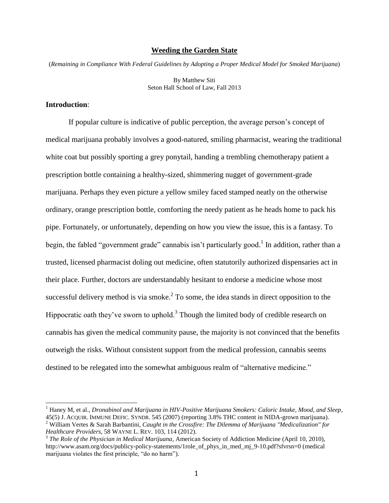#### **Weeding the Garden State**

(*Remaining in Compliance With Federal Guidelines by Adopting a Proper Medical Model for Smoked Marijuana*)

By Matthew Siti Seton Hall School of Law, Fall 2013

## **Introduction**:

 $\overline{a}$ 

If popular culture is indicative of public perception, the average person's concept of medical marijuana probably involves a good-natured, smiling pharmacist, wearing the traditional white coat but possibly sporting a grey ponytail, handing a trembling chemotherapy patient a prescription bottle containing a healthy-sized, shimmering nugget of government-grade marijuana. Perhaps they even picture a yellow smiley faced stamped neatly on the otherwise ordinary, orange prescription bottle, comforting the needy patient as he heads home to pack his pipe. Fortunately, or unfortunately, depending on how you view the issue, this is a fantasy. To begin, the fabled "government grade" cannabis isn't particularly good.<sup>1</sup> In addition, rather than a trusted, licensed pharmacist doling out medicine, often statutorily authorized dispensaries act in their place. Further, doctors are understandably hesitant to endorse a medicine whose most successful delivery method is via smoke. $2$  To some, the idea stands in direct opposition to the Hippocratic oath they've sworn to uphold.<sup>3</sup> Though the limited body of credible research on cannabis has given the medical community pause, the majority is not convinced that the benefits outweigh the risks. Without consistent support from the medical profession, cannabis seems destined to be relegated into the somewhat ambiguous realm of "alternative medicine."

<sup>1</sup> Haney M, et al., *Dronabinol and Marijuana in HIV-Positive Marijuana Smokers: Caloric Intake, Mood, and Sleep*, 45(5) J. ACQUIR. IMMUNE DEFIC. SYNDR. 545 (2007) (reporting 3.8% THC content in NIDA-grown marijuana).

<sup>2</sup> William Vertes & Sarah Barbantini, *Caught in the Crossfire: The Dilemma of Marijuana "Medicalization" for Healthcare Providers*, 58 WAYNE L. REV. 103, 114 (2012).

<sup>3</sup> *The Role of the Physician in Medical Marijuana*, American Society of Addiction Medicine (April 10, 2010), http://www.asam.org/docs/publicy-policy-statements/1role of phys in med mj 9-10.pdf?sfvrsn=0 (medical marijuana violates the first principle, "do no harm").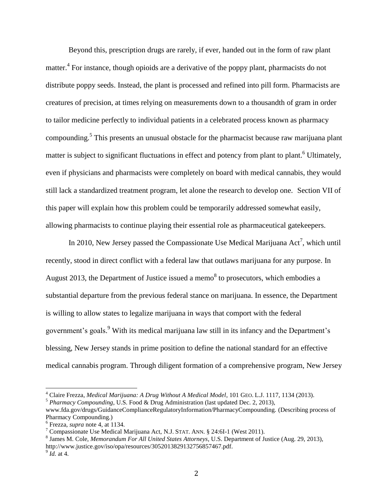Beyond this, prescription drugs are rarely, if ever, handed out in the form of raw plant matter.<sup>4</sup> For instance, though opioids are a derivative of the poppy plant, pharmacists do not distribute poppy seeds. Instead, the plant is processed and refined into pill form. Pharmacists are creatures of precision, at times relying on measurements down to a thousandth of gram in order to tailor medicine perfectly to individual patients in a celebrated process known as pharmacy compounding.<sup>5</sup> This presents an unusual obstacle for the pharmacist because raw marijuana plant matter is subject to significant fluctuations in effect and potency from plant to plant.<sup>6</sup> Ultimately, even if physicians and pharmacists were completely on board with medical cannabis, they would still lack a standardized treatment program, let alone the research to develop one. Section VII of this paper will explain how this problem could be temporarily addressed somewhat easily, allowing pharmacists to continue playing their essential role as pharmaceutical gatekeepers.

In 2010, New Jersey passed the Compassionate Use Medical Marijuana  $Act^7$ , which until recently, stood in direct conflict with a federal law that outlaws marijuana for any purpose. In August 2013, the Department of Justice issued a memo<sup>8</sup> to prosecutors, which embodies a substantial departure from the previous federal stance on marijuana. In essence, the Department is willing to allow states to legalize marijuana in ways that comport with the federal government's goals.<sup>9</sup> With its medical marijuana law still in its infancy and the Department's blessing, New Jersey stands in prime position to define the national standard for an effective medical cannabis program. Through diligent formation of a comprehensive program, New Jersey

<sup>4</sup> Claire Frezza, *Medical Marijuana: A Drug Without A Medical Model*, 101 GEO. L.J. 1117, 1134 (2013).

<sup>5</sup> *Pharmacy Compounding*, U.S. Food & Drug Administration (last updated Dec. 2, 2013), www.fda.gov/drugs/GuidanceComplianceRegulatoryInformation/PharmacyCompounding. (Describing process of

Pharmacy Compounding.) 6 Frezza, *supra* note 4, at 1134.

<sup>&</sup>lt;sup>7</sup> Compassionate Use Medical Marijuana Act, N.J. STAT. ANN. § 24:6I-1 (West 2011).

<sup>8</sup> James M. Cole, *Memorandum For All United States Attorneys*, U.S. Department of Justice (Aug. 29, 2013), http://www.justice.gov/iso/opa/resources/3052013829132756857467.pdf.

<sup>9</sup> *Id.* at 4.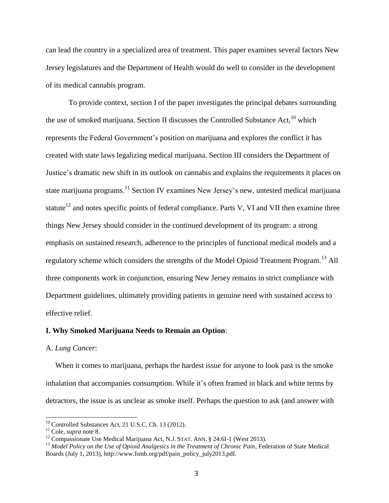can lead the country in a specialized area of treatment. This paper examines several factors New Jersey legislatures and the Department of Health would do well to consider in the development of its medical cannabis program.

To provide context, section I of the paper investigates the principal debates surrounding the use of smoked marijuana. Section II discusses the Controlled Substance Act,  $^{10}$  which represents the Federal Government's position on marijuana and explores the conflict it has created with state laws legalizing medical marijuana. Section III considers the Department of Justice's dramatic new shift in its outlook on cannabis and explains the requirements it places on state marijuana programs.<sup>11</sup> Section IV examines New Jersey's new, untested medical marijuana statute<sup>12</sup> and notes specific points of federal compliance. Parts V, VI and VII then examine three things New Jersey should consider in the continued development of its program: a strong emphasis on sustained research, adherence to the principles of functional medical models and a regulatory scheme which considers the strengths of the Model Opioid Treatment Program.<sup>13</sup> All three components work in conjunction, ensuring New Jersey remains in strict compliance with Department guidelines, ultimately providing patients in genuine need with sustained access to effective relief.

## **I. Why Smoked Marijuana Needs to Remain an Option**:

#### A. *Lung Cancer*:

 When it comes to marijuana, perhaps the hardest issue for anyone to look past is the smoke inhalation that accompanies consumption. While it's often framed in black and white terms by detractors, the issue is as unclear as smoke itself. Perhaps the question to ask (and answer with

 $10$  Controlled Substances Act, 21 U.S.C. Ch. 13 (2012).

<sup>11</sup> Cole, *supra* note 8.

<sup>&</sup>lt;sup>12</sup> Compassionate Use Medical Marijuana Act, N.J. STAT. ANN. § 24:6I-1 (West 2013).

<sup>13</sup> *Model Policy on the Use of Opioid Analgesics in the Treatment of Chronic Pain*, Federation of State Medical Boards (July 1, 2013), http://www.fsmb.org/pdf/pain\_policy\_july2013.pdf.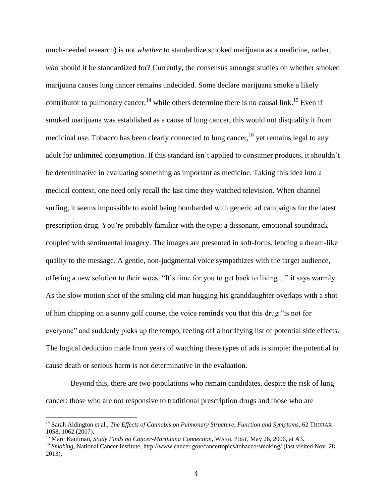much-needed research) is not *whether* to standardize smoked marijuana as a medicine, rather, *who* should it be standardized for? Currently, the consensus amongst studies on whether smoked marijuana causes lung cancer remains undecided. Some declare marijuana smoke a likely contributor to pulmonary cancer,  $^{14}$  while others determine there is no causal link.<sup>15</sup> Even if smoked marijuana was established as a cause of lung cancer, this would not disqualify it from medicinal use. Tobacco has been clearly connected to lung cancer, <sup>16</sup> yet remains legal to any adult for unlimited consumption. If this standard isn't applied to consumer products, it shouldn't be determinative in evaluating something as important as medicine. Taking this idea into a medical context, one need only recall the last time they watched television. When channel surfing, it seems impossible to avoid being bombarded with generic ad campaigns for the latest prescription drug. You're probably familiar with the type; a dissonant, emotional soundtrack coupled with sentimental imagery. The images are presented in soft-focus, lending a dream-like quality to the message. A gentle, non-judgmental voice sympathizes with the target audience, offering a new solution to their woes. "It's time for you to get back to living…" it says warmly. As the slow motion shot of the smiling old man hugging his granddaughter overlaps with a shot of him chipping on a sunny golf course, the voice reminds you that this drug "is not for everyone" and suddenly picks up the tempo, reeling off a horrifying list of potential side effects. The logical deduction made from years of watching these types of ads is simple: the potential to cause death or serious harm is not determinative in the evaluation.

Beyond this, there are two populations who remain candidates, despite the risk of lung cancer: those who are not responsive to traditional prescription drugs and those who are

<sup>14</sup> Sarah Aldington et al., *The Effects of Cannabis on Pulmonary Structure, Function and Symptoms*, 62 THORAX 1058, 1062 (2007).

<sup>15</sup> Marc Kaufman, *Study Finds no Cancer-Marijuana Connection*, WASH. POST, May 26, 2006, at A3.

<sup>&</sup>lt;sup>16</sup> *Smoking*, National Cancer Institute, http://www.cancer.gov/cancertopics/tobacco/smoking/ (last visited Nov. 28, 2013).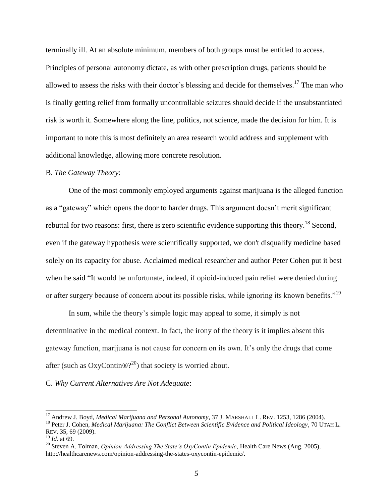terminally ill. At an absolute minimum, members of both groups must be entitled to access. Principles of personal autonomy dictate, as with other prescription drugs, patients should be allowed to assess the risks with their doctor's blessing and decide for themselves.<sup>17</sup> The man who is finally getting relief from formally uncontrollable seizures should decide if the unsubstantiated risk is worth it. Somewhere along the line, politics, not science, made the decision for him. It is important to note this is most definitely an area research would address and supplement with additional knowledge, allowing more concrete resolution.

## B. *The Gateway Theory*:

One of the most commonly employed arguments against marijuana is the alleged function as a "gateway" which opens the door to harder drugs. This argument doesn't merit significant rebuttal for two reasons: first, there is zero scientific evidence supporting this theory.<sup>18</sup> Second, even if the gateway hypothesis were scientifically supported, we don't disqualify medicine based solely on its capacity for abuse. Acclaimed medical researcher and author Peter Cohen put it best when he said "It would be unfortunate, indeed, if opioid-induced pain relief were denied during or after surgery because of concern about its possible risks, while ignoring its known benefits."<sup>19</sup>

In sum, while the theory's simple logic may appeal to some, it simply is not determinative in the medical context. In fact, the irony of the theory is it implies absent this gateway function, marijuana is not cause for concern on its own. It's only the drugs that come after (such as  $OxyContin@?^{20}$ ) that society is worried about.

## C. *Why Current Alternatives Are Not Adequate*:

<sup>&</sup>lt;sup>17</sup> Andrew J. Boyd, *Medical Marijuana and Personal Autonomy*, 37 J. MARSHALL L. REV. 1253, 1286 (2004). <sup>18</sup> Peter J. Cohen, *Medical Marijuana: The Conflict Between Scientific Evidence and Political Ideology*, 70 UTAH L. REV. 35, 69 (2009).

<sup>19</sup> *Id.* at 69.

<sup>20</sup> Steven A. Tolman, *Opinion Addressing The State's OxyContin Epidemic*, Health Care News (Aug. 2005), http://healthcarenews.com/opinion-addressing-the-states-oxycontin-epidemic/.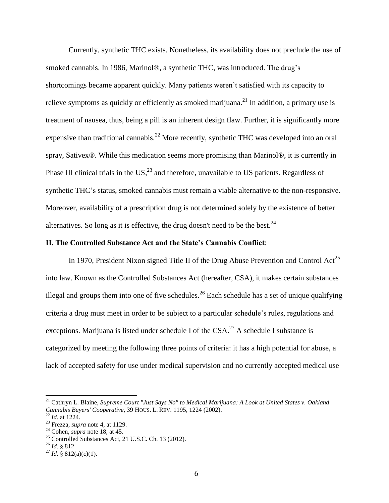Currently, synthetic THC exists. Nonetheless, its availability does not preclude the use of smoked cannabis. In 1986, Marinol®, a synthetic THC, was introduced. The drug's shortcomings became apparent quickly. Many patients weren't satisfied with its capacity to relieve symptoms as quickly or efficiently as smoked marijuana.<sup>21</sup> In addition, a primary use is treatment of nausea, thus, being a pill is an inherent design flaw. Further, it is significantly more expensive than traditional cannabis.<sup>22</sup> More recently, synthetic THC was developed into an oral spray, Sativex®. While this medication seems more promising than Marinol®, it is currently in Phase III clinical trials in the US, $^{23}$  and therefore, unavailable to US patients. Regardless of synthetic THC's status, smoked cannabis must remain a viable alternative to the non-responsive. Moreover, availability of a prescription drug is not determined solely by the existence of better alternatives. So long as it is effective, the drug doesn't need to be the best.<sup>24</sup>

## **II. The Controlled Substance Act and the State's Cannabis Conflict**:

In 1970, President Nixon signed Title II of the Drug Abuse Prevention and Control  $Act^{25}$ into law. Known as the Controlled Substances Act (hereafter, CSA), it makes certain substances illegal and groups them into one of five schedules.<sup>26</sup> Each schedule has a set of unique qualifying criteria a drug must meet in order to be subject to a particular schedule's rules, regulations and exceptions. Marijuana is listed under schedule I of the  $CSA$ .<sup>27</sup> A schedule I substance is categorized by meeting the following three points of criteria: it has a high potential for abuse, a lack of accepted safety for use under medical supervision and no currently accepted medical use

l

 $^{26}$  *Id.* § 812.

<sup>21</sup> Cathryn L. Blaine, *Supreme Court "Just Says No" to Medical Marijuana: A Look at United States v. Oakland Cannabis Buyers' Cooperative*, 39 HOUS. L. REV. 1195, 1224 (2002).

<sup>22</sup> *Id.* at 1224.

<sup>23</sup> Frezza, *supra* note 4, at 1129.

<sup>24</sup> Cohen, *supra* note 18, at 45.

 $^{25}$  Controlled Substances Act, 21 U.S.C. Ch. 13 (2012).

<sup>&</sup>lt;sup>27</sup> *Id.* § 812(a)(c)(1).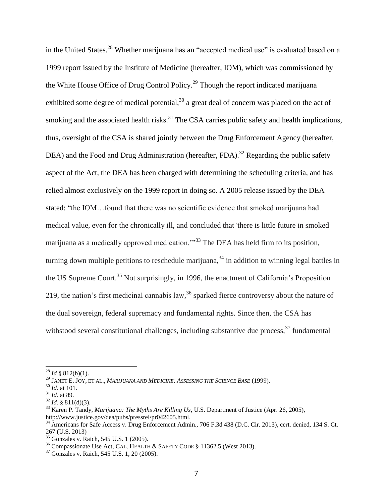in the United States.<sup>28</sup> Whether marijuana has an "accepted medical use" is evaluated based on a 1999 report issued by the Institute of Medicine (hereafter, IOM), which was commissioned by the White House Office of Drug Control Policy.<sup>29</sup> Though the report indicated marijuana exhibited some degree of medical potential, $30$  a great deal of concern was placed on the act of smoking and the associated health risks. $31$  The CSA carries public safety and health implications, thus, oversight of the CSA is shared jointly between the Drug Enforcement Agency (hereafter, DEA) and the Food and Drug Administration (hereafter, FDA).<sup>32</sup> Regarding the public safety aspect of the Act, the DEA has been charged with determining the scheduling criteria, and has relied almost exclusively on the 1999 report in doing so. A 2005 release issued by the DEA stated: "the IOM…found that there was no scientific evidence that smoked marijuana had medical value, even for the chronically ill, and concluded that 'there is little future in smoked marijuana as a medically approved medication.<sup>733</sup> The DEA has held firm to its position, turning down multiple petitions to reschedule marijuana,<sup>34</sup> in addition to winning legal battles in the US Supreme Court.<sup>35</sup> Not surprisingly, in 1996, the enactment of California's Proposition 219, the nation's first medicinal cannabis law,  $36$  sparked fierce controversy about the nature of the dual sovereign, federal supremacy and fundamental rights. Since then, the CSA has withstood several constitutional challenges, including substantive due process,  $37$  fundamental

 $^{28}$  *Id* § 812(b)(1).

<sup>29</sup> JANET E. JOY, ET AL., *MARIJUANA AND MEDICINE: ASSESSING THE SCIENCE BASE* (1999).

<sup>30</sup> *Id.* at 101.

<sup>31</sup> *Id.* at 89.

 $32$  *Id.* § 811(d)(3).

<sup>33</sup> Karen P. Tandy, *Marijuana: The Myths Are Killing Us*, U.S. Department of Justice (Apr. 26, 2005),

http://www.justice.gov/dea/pubs/pressrel/pr042605.html.

<sup>34</sup> Americans for Safe Access v. Drug Enforcement Admin., 706 F.3d 438 (D.C. Cir. 2013), cert. denied, 134 S. Ct. 267 (U.S. 2013)

<sup>35</sup> Gonzales v. Raich, 545 U.S. 1 (2005).

<sup>&</sup>lt;sup>36</sup> Compassionate Use Act, CAL. HEALTH & SAFETY CODE § 11362.5 (West 2013).

<sup>37</sup> Gonzales v. Raich, 545 U.S. 1, 20 (2005).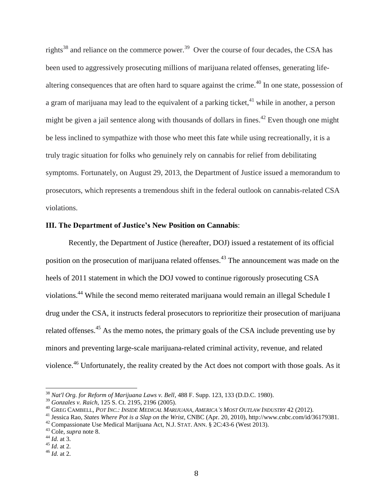rights<sup>38</sup> and reliance on the commerce power.<sup>39</sup> Over the course of four decades, the CSA has been used to aggressively prosecuting millions of marijuana related offenses, generating lifealtering consequences that are often hard to square against the crime.<sup>40</sup> In one state, possession of a gram of marijuana may lead to the equivalent of a parking ticket,<sup>41</sup> while in another, a person might be given a jail sentence along with thousands of dollars in fines.<sup>42</sup> Even though one might be less inclined to sympathize with those who meet this fate while using recreationally, it is a truly tragic situation for folks who genuinely rely on cannabis for relief from debilitating symptoms. Fortunately, on August 29, 2013, the Department of Justice issued a memorandum to prosecutors, which represents a tremendous shift in the federal outlook on cannabis-related CSA violations.

## **III. The Department of Justice's New Position on Cannabis**:

Recently, the Department of Justice (hereafter, DOJ) issued a restatement of its official position on the prosecution of marijuana related offenses.<sup>43</sup> The announcement was made on the heels of 2011 statement in which the DOJ vowed to continue rigorously prosecuting CSA violations.<sup>44</sup> While the second memo reiterated marijuana would remain an illegal Schedule I drug under the CSA, it instructs federal prosecutors to reprioritize their prosecution of marijuana related offenses.<sup>45</sup> As the memo notes, the primary goals of the CSA include preventing use by minors and preventing large-scale marijuana-related criminal activity, revenue, and related violence.<sup>46</sup> Unfortunately, the reality created by the Act does not comport with those goals. As it

<sup>38</sup> *Nat'l Org. for Reform of Marijuana Laws v. Bell*, 488 F. Supp. 123, 133 (D.D.C. 1980).

<sup>39</sup> *Gonzales v. Raich*, 125 S. Ct. 2195, 2196 (2005).

<sup>&</sup>lt;sup>40</sup> GREG CAMBELL, POT INC.: INSIDE MEDICAL MARIJUANA, AMERICA'S MOST OUTLAW INDUSTRY 42 (2012).

<sup>41</sup> Jessica Rao, *States Where Pot is a Slap on the Wrist*, CNBC (Apr. 20, 2010), http://www.cnbc.com/id/36179381.

 $42$  Compassionate Use Medical Marijuana Act, N.J. STAT. ANN. § 2C:43-6 (West 2013).

<sup>43</sup> Cole, *supra* note 8.

<sup>44</sup> *Id.* at 3.

 $45$  *Id.* at 2.

<sup>46</sup> *Id.* at 2.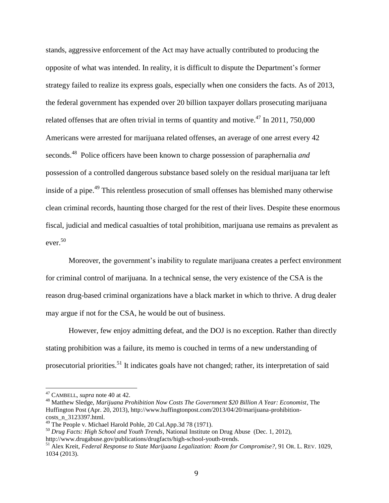stands, aggressive enforcement of the Act may have actually contributed to producing the opposite of what was intended. In reality, it is difficult to dispute the Department's former strategy failed to realize its express goals, especially when one considers the facts. As of 2013, the federal government has expended over 20 billion taxpayer dollars prosecuting marijuana related offenses that are often trivial in terms of quantity and motive.<sup>47</sup> In 2011, 750,000 Americans were arrested for marijuana related offenses, an average of one arrest every 42 seconds. <sup>48</sup> Police officers have been known to charge possession of paraphernalia *and* possession of a controlled dangerous substance based solely on the residual marijuana tar left inside of a pipe.<sup>49</sup> This relentless prosecution of small offenses has blemished many otherwise clean criminal records, haunting those charged for the rest of their lives. Despite these enormous fiscal, judicial and medical casualties of total prohibition, marijuana use remains as prevalent as ever. 50

Moreover, the government's inability to regulate marijuana creates a perfect environment for criminal control of marijuana. In a technical sense, the very existence of the CSA is the reason drug-based criminal organizations have a black market in which to thrive. A drug dealer may argue if not for the CSA, he would be out of business.

However, few enjoy admitting defeat, and the DOJ is no exception. Rather than directly stating prohibition was a failure, its memo is couched in terms of a new understanding of prosecutorial priorities.<sup>51</sup> It indicates goals have not changed; rather, its interpretation of said

<sup>47</sup> CAMBELL, *supra* note 40 at 42.

<sup>48</sup> Matthew Sledge, *Marijuana Prohibition Now Costs The Government \$20 Billion A Year: Economist*, The Huffington Post (Apr. 20, 2013), http://www.huffingtonpost.com/2013/04/20/marijuana-prohibitioncosts\_n\_3123397.html.

<sup>&</sup>lt;sup>49</sup> The People v. Michael Harold Pohle, 20 Cal.App.3d 78 (1971).

<sup>50</sup> *Drug Facts: High School and Youth Trends*, National Institute on Drug Abuse (Dec. 1, 2012), http://www.drugabuse.gov/publications/drugfacts/high-school-youth-trends.

<sup>51</sup> Alex Kreit, *Federal Response to State Marijuana Legalization: Room for Compromise?*, 91 OR. L. REV. 1029, 1034 (2013).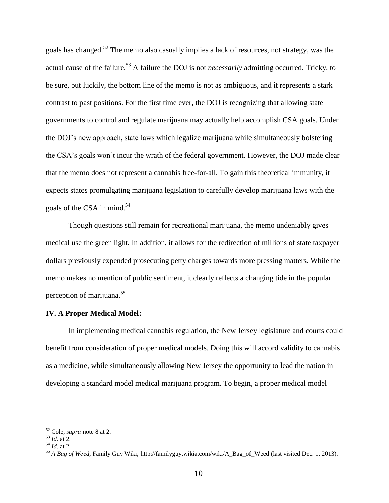goals has changed.<sup>52</sup> The memo also casually implies a lack of resources, not strategy, was the actual cause of the failure.<sup>53</sup> A failure the DOJ is not *necessarily* admitting occurred. Tricky, to be sure, but luckily, the bottom line of the memo is not as ambiguous, and it represents a stark contrast to past positions. For the first time ever, the DOJ is recognizing that allowing state governments to control and regulate marijuana may actually help accomplish CSA goals. Under the DOJ's new approach, state laws which legalize marijuana while simultaneously bolstering the CSA's goals won't incur the wrath of the federal government. However, the DOJ made clear that the memo does not represent a cannabis free-for-all. To gain this theoretical immunity, it expects states promulgating marijuana legislation to carefully develop marijuana laws with the goals of the CSA in mind.<sup>54</sup>

Though questions still remain for recreational marijuana, the memo undeniably gives medical use the green light. In addition, it allows for the redirection of millions of state taxpayer dollars previously expended prosecuting petty charges towards more pressing matters. While the memo makes no mention of public sentiment, it clearly reflects a changing tide in the popular perception of marijuana. 55

## **IV. A Proper Medical Model:**

In implementing medical cannabis regulation, the New Jersey legislature and courts could benefit from consideration of proper medical models. Doing this will accord validity to cannabis as a medicine, while simultaneously allowing New Jersey the opportunity to lead the nation in developing a standard model medical marijuana program. To begin, a proper medical model

<sup>52</sup> Cole, *supra* note 8 at 2.

<sup>53</sup> *Id.* at 2.

 $^{54}$  *Id.* at 2.

<sup>55</sup> *A Bag of Weed,* Family Guy Wiki, [http://familyguy.wikia.com/wiki/A\\_Bag\\_of\\_Weed](http://familyguy.wikia.com/wiki/A_Bag_of_Weed) (last visited Dec. 1, 2013).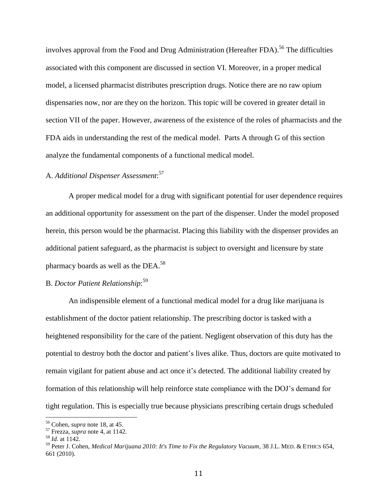involves approval from the Food and Drug Administration (Hereafter FDA).<sup>56</sup> The difficulties associated with this component are discussed in section VI. Moreover, in a proper medical model, a licensed pharmacist distributes prescription drugs. Notice there are no raw opium dispensaries now, nor are they on the horizon. This topic will be covered in greater detail in section VII of the paper. However, awareness of the existence of the roles of pharmacists and the FDA aids in understanding the rest of the medical model. Parts A through G of this section analyze the fundamental components of a functional medical model.

# A. *Additional Dispenser Assessment*: 57

A proper medical model for a drug with significant potential for user dependence requires an additional opportunity for assessment on the part of the dispenser. Under the model proposed herein, this person would be the pharmacist. Placing this liability with the dispenser provides an additional patient safeguard, as the pharmacist is subject to oversight and licensure by state pharmacy boards as well as the DEA.<sup>58</sup>

# B. *Doctor Patient Relationship*: 59

An indispensible element of a functional medical model for a drug like marijuana is establishment of the doctor patient relationship. The prescribing doctor is tasked with a heightened responsibility for the care of the patient. Negligent observation of this duty has the potential to destroy both the doctor and patient's lives alike. Thus, doctors are quite motivated to remain vigilant for patient abuse and act once it's detected. The additional liability created by formation of this relationship will help reinforce state compliance with the DOJ's demand for tight regulation. This is especially true because physicians prescribing certain drugs scheduled

<sup>56</sup> Cohen, *supra* note 18, at 45.

<sup>57</sup> Frezza, *supra* note 4, at 1142.

 $58$  *Id.* at 1142.

<sup>59</sup> Peter J. Cohen, *Medical Marijuana 2010: It's Time to Fix the Regulatory Vacuum*, 38 J.L. MED. & ETHICS 654, 661 (2010).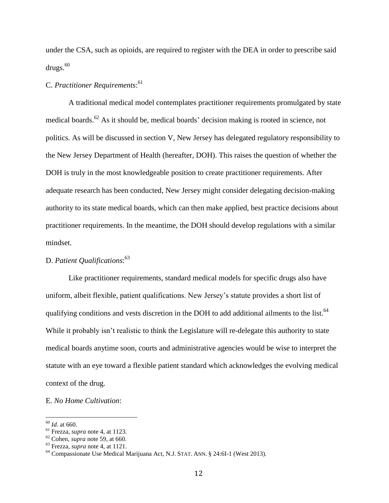under the CSA, such as opioids, are required to register with the DEA in order to prescribe said  $drugs.<sup>60</sup>$ 

# C. *Practitioner Requirements*: 61

A traditional medical model contemplates practitioner requirements promulgated by state medical boards.<sup>62</sup> As it should be, medical boards' decision making is rooted in science, not politics. As will be discussed in section V, New Jersey has delegated regulatory responsibility to the New Jersey Department of Health (hereafter, DOH). This raises the question of whether the DOH is truly in the most knowledgeable position to create practitioner requirements. After adequate research has been conducted, New Jersey might consider delegating decision-making authority to its state medical boards, which can then make applied, best practice decisions about practitioner requirements. In the meantime, the DOH should develop regulations with a similar mindset.

# D. *Patient Qualifications*: 63

Like practitioner requirements, standard medical models for specific drugs also have uniform, albeit flexible, patient qualifications. New Jersey's statute provides a short list of qualifying conditions and vests discretion in the DOH to add additional ailments to the list.<sup>64</sup> While it probably isn't realistic to think the Legislature will re-delegate this authority to state medical boards anytime soon, courts and administrative agencies would be wise to interpret the statute with an eye toward a flexible patient standard which acknowledges the evolving medical context of the drug.

## E. *No Home Cultivation*:

<sup>60</sup> *Id.* at 660.

<sup>61</sup> Frezza, *supra* note 4, at 1123.

<sup>62</sup> Cohen, *supra* note 59, at 660.

<sup>63</sup> Frezza, *supra* note 4, at 1121.

<sup>64</sup> Compassionate Use Medical Marijuana Act, N.J. STAT. ANN. § 24:6I-1 (West 2013).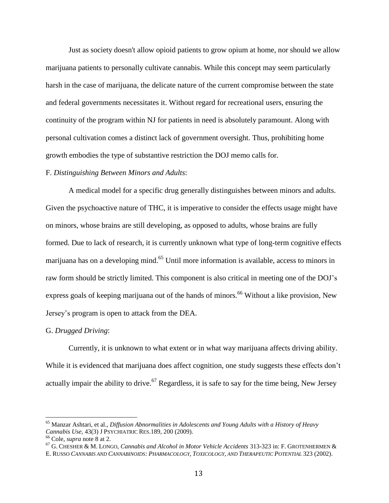Just as society doesn't allow opioid patients to grow opium at home, nor should we allow marijuana patients to personally cultivate cannabis. While this concept may seem particularly harsh in the case of marijuana, the delicate nature of the current compromise between the state and federal governments necessitates it. Without regard for recreational users, ensuring the continuity of the program within NJ for patients in need is absolutely paramount. Along with personal cultivation comes a distinct lack of government oversight. Thus, prohibiting home growth embodies the type of substantive restriction the DOJ memo calls for.

## F. *Distinguishing Between Minors and Adults*:

A medical model for a specific drug generally distinguishes between minors and adults. Given the psychoactive nature of THC, it is imperative to consider the effects usage might have on minors, whose brains are still developing, as opposed to adults, whose brains are fully formed. Due to lack of research, it is currently unknown what type of long-term cognitive effects marijuana has on a developing mind.<sup>65</sup> Until more information is available, access to minors in raw form should be strictly limited. This component is also critical in meeting one of the DOJ's express goals of keeping marijuana out of the hands of minors.<sup>66</sup> Without a like provision, New Jersey's program is open to attack from the DEA.

## G. *Drugged Driving*:

Currently, it is unknown to what extent or in what way marijuana affects driving ability. While it is evidenced that marijuana does affect cognition, one study suggests these effects don't actually impair the ability to drive.<sup>67</sup> Regardless, it is safe to say for the time being, New Jersey

<sup>65</sup> Manzar Ashtari, et al., *Diffusion Abnormalities in Adolescents and Young Adults with a History of Heavy Cannabis Use,* 43(3) J PSYCHIATRIC RES.189, 200 (2009).

<sup>66</sup> Cole, *supra* note 8 at 2.

<sup>67</sup> G. CHESHER & M. LONGO, *Cannabis and Alcohol in Motor Vehicle Accidents* 313-323 in: F. GROTENHERMEN & E. RUSSO *CANNABIS AND CANNABINOIDS: PHARMACOLOGY, TOXICOLOGY, AND THERAPEUTIC POTENTIAL* 323 (2002).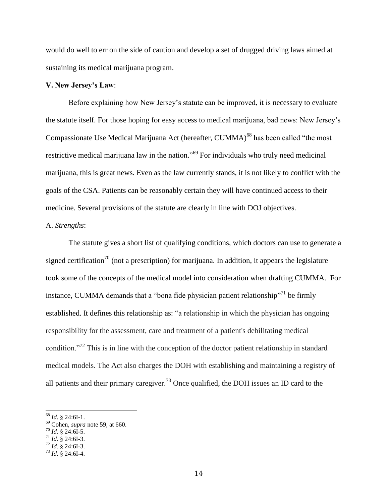would do well to err on the side of caution and develop a set of drugged driving laws aimed at sustaining its medical marijuana program.

## **V. New Jersey's Law**:

Before explaining how New Jersey's statute can be improved, it is necessary to evaluate the statute itself. For those hoping for easy access to medical marijuana, bad news: New Jersey's Compassionate Use Medical Marijuana Act (hereafter, CUMMA)<sup>68</sup> has been called "the most restrictive medical marijuana law in the nation."<sup>69</sup> For individuals who truly need medicinal marijuana, this is great news. Even as the law currently stands, it is not likely to conflict with the goals of the CSA. Patients can be reasonably certain they will have continued access to their medicine. Several provisions of the statute are clearly in line with DOJ objectives.

## A. *Strengths*:

The statute gives a short list of qualifying conditions, which doctors can use to generate a signed certification<sup>70</sup> (not a prescription) for marijuana. In addition, it appears the legislature took some of the concepts of the medical model into consideration when drafting CUMMA. For instance, CUMMA demands that a "bona fide physician patient relationship"<sup>71</sup> be firmly established. It defines this relationship as: "a relationship in which the physician has ongoing responsibility for the assessment, care and treatment of a patient's debilitating medical condition."<sup>72</sup> This is in line with the conception of the doctor patient relationship in standard medical models. The Act also charges the DOH with establishing and maintaining a registry of all patients and their primary caregiver.<sup>73</sup> Once qualified, the DOH issues an ID card to the

<sup>68</sup> *Id.* § 24:6I-1.

<sup>69</sup> Cohen, *supra* note 59, at 660.

<sup>70</sup> *Id.* § 24:6I-5.

<sup>71</sup> *Id.* § 24:6I-3.

<sup>72</sup> *Id.* § 24:6I-3.

<sup>73</sup> *Id.* § 24:6I-4.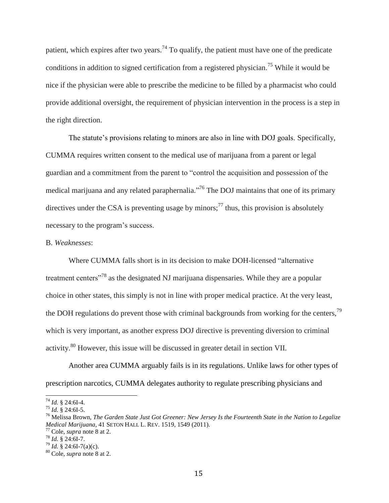patient, which expires after two years.<sup>74</sup> To qualify, the patient must have one of the predicate conditions in addition to signed certification from a registered physician.<sup>75</sup> While it would be nice if the physician were able to prescribe the medicine to be filled by a pharmacist who could provide additional oversight, the requirement of physician intervention in the process is a step in the right direction.

The statute's provisions relating to minors are also in line with DOJ goals. Specifically, CUMMA requires written consent to the medical use of marijuana from a parent or legal guardian and a commitment from the parent to "control the acquisition and possession of the medical marijuana and any related paraphernalia."<sup>76</sup> The DOJ maintains that one of its primary directives under the CSA is preventing usage by minors;<sup>77</sup> thus, this provision is absolutely necessary to the program's success.

## B. *Weaknesses*:

Where CUMMA falls short is in its decision to make DOH-licensed "alternative treatment centers"<sup>78</sup> as the designated NJ marijuana dispensaries. While they are a popular choice in other states, this simply is not in line with proper medical practice. At the very least, the DOH regulations do prevent those with criminal backgrounds from working for the centers,<sup>79</sup> which is very important, as another express DOJ directive is preventing diversion to criminal activity.<sup>80</sup> However, this issue will be discussed in greater detail in section VII.

Another area CUMMA arguably fails is in its regulations. Unlike laws for other types of prescription narcotics, CUMMA delegates authority to regulate prescribing physicians and

l

<sup>74</sup> *Id.* § 24:6I-4.

 $^{75}$  *Id.* § 24:6I-5.

<sup>76</sup> Melissa Brown, *The Garden State Just Got Greener: New Jersey Is the Fourteenth State in the Nation to Legalize Medical Marijuana*, 41 SETON HALL L. REV. 1519, 1549 (2011).

<sup>77</sup> Cole, *supra* note 8 at 2.

<sup>78</sup> *Id.* § 24:6I-7.

 $^{79}$  *Id.* § 24:6I-7(a)(c).

<sup>80</sup> Cole, *supra* note 8 at 2.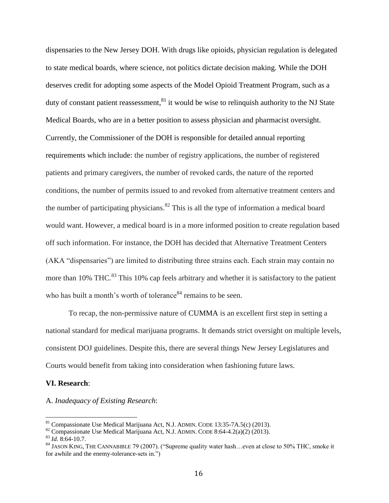dispensaries to the New Jersey DOH. With drugs like opioids, physician regulation is delegated to state medical boards, where science, not politics dictate decision making. While the DOH deserves credit for adopting some aspects of the Model Opioid Treatment Program, such as a duty of constant patient reassessment,  $81$  it would be wise to relinquish authority to the NJ State Medical Boards, who are in a better position to assess physician and pharmacist oversight. Currently, the Commissioner of the DOH is responsible for detailed annual reporting requirements which include: the number of registry applications, the number of registered patients and primary caregivers, the number of revoked cards, the nature of the reported conditions, the number of permits issued to and revoked from alternative treatment centers and the number of participating physicians. $82$  This is all the type of information a medical board would want. However, a medical board is in a more informed position to create regulation based off such information. For instance, the DOH has decided that Alternative Treatment Centers (AKA "dispensaries") are limited to distributing three strains each. Each strain may contain no more than 10% THC. $^{83}$  This 10% cap feels arbitrary and whether it is satisfactory to the patient who has built a month's worth of tolerance $84$  remains to be seen.

To recap, the non-permissive nature of CUMMA is an excellent first step in setting a national standard for medical marijuana programs. It demands strict oversight on multiple levels, consistent DOJ guidelines. Despite this, there are several things New Jersey Legislatures and Courts would benefit from taking into consideration when fashioning future laws.

## **VI. Research**:

#### A. *Inadequacy of Existing Research*:

<sup>81</sup> Compassionate Use Medical Marijuana Act, N.J. ADMIN. CODE 13:35-7A.5(c) (2013).

 $82$  Compassionate Use Medical Marijuana Act, N.J. ADMIN. CODE 8:64-4.2(a)(2) (2013).

<sup>83</sup> *Id.* 8:64-10.7.

<sup>84</sup> JASON KING, THE CANNABIBLE 79 (2007). ("Supreme quality water hash…even at close to 50% THC, smoke it for awhile and the enemy-tolerance-sets in.")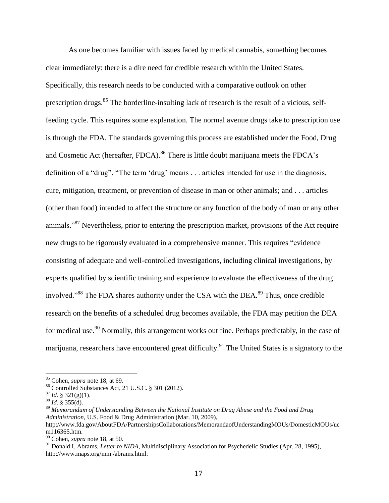As one becomes familiar with issues faced by medical cannabis, something becomes clear immediately: there is a dire need for credible research within the United States. Specifically, this research needs to be conducted with a comparative outlook on other prescription drugs.<sup>85</sup> The borderline-insulting lack of research is the result of a vicious, selffeeding cycle. This requires some explanation. The normal avenue drugs take to prescription use is through the FDA. The standards governing this process are established under the Food, Drug and Cosmetic Act (hereafter, FDCA).<sup>86</sup> There is little doubt marijuana meets the FDCA's definition of a "drug". "The term 'drug' means . . . articles intended for use in the diagnosis, cure, mitigation, treatment, or prevention of disease in man or other animals; and . . . articles (other than food) intended to affect the structure or any function of the body of man or any other animals."<sup>87</sup> Nevertheless, prior to entering the prescription market, provisions of the Act require new drugs to be rigorously evaluated in a comprehensive manner. This requires "evidence consisting of adequate and well-controlled investigations, including clinical investigations, by experts qualified by scientific training and experience to evaluate the effectiveness of the drug involved."<sup>88</sup> The FDA shares authority under the CSA with the DEA.<sup>89</sup> Thus, once credible research on the benefits of a scheduled drug becomes available, the FDA may petition the DEA for medical use.<sup>90</sup> Normally, this arrangement works out fine. Perhaps predictably, in the case of marijuana, researchers have encountered great difficulty.<sup>91</sup> The United States is a signatory to the

l

<sup>85</sup> Cohen, *supra* note 18, at 69.

<sup>86</sup> Controlled Substances Act, 21 U.S.C. § 301 (2012).

 $^{87}$  *Id.* § 321(g)(1).

 $88$  *Id.* § 355(d).

<sup>89</sup> *Memorandum of Understanding Between the National Institute on Drug Abuse and the Food and Drug Administration*, U.S. Food & Drug Administration (Mar. 10, 2009), http://www.fda.gov/AboutFDA/PartnershipsCollaborations/MemorandaofUnderstandingMOUs/DomesticMOUs/uc m116365.htm.

<sup>90</sup> Cohen, *supra* note 18, at 50.

<sup>&</sup>lt;sup>91</sup> Donald I. Abrams, *Letter to NIDA*, Multidisciplinary Association for Psychedelic Studies (Apr. 28, 1995), http://www.maps.org/mmj/abrams.html.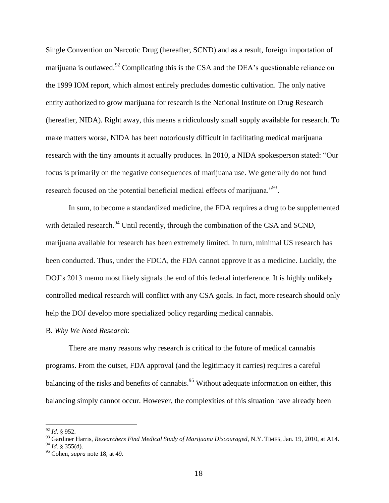Single Convention on Narcotic Drug (hereafter, SCND) and as a result, foreign importation of marijuana is outlawed.<sup>92</sup> Complicating this is the CSA and the DEA's questionable reliance on the 1999 IOM report, which almost entirely precludes domestic cultivation. The only native entity authorized to grow marijuana for research is the National Institute on Drug Research (hereafter, NIDA). Right away, this means a ridiculously small supply available for research. To make matters worse, NIDA has been notoriously difficult in facilitating medical marijuana research with the tiny amounts it actually produces. In 2010, a NIDA spokesperson stated: "Our focus is primarily on the negative consequences of marijuana use. We generally do not fund research focused on the potential beneficial medical effects of marijuana.<sup> $393$ </sup>.

In sum, to become a standardized medicine, the FDA requires a drug to be supplemented with detailed research.<sup>94</sup> Until recently, through the combination of the CSA and SCND, marijuana available for research has been extremely limited. In turn, minimal US research has been conducted. Thus, under the FDCA, the FDA cannot approve it as a medicine. Luckily, the DOJ's 2013 memo most likely signals the end of this federal interference. It is highly unlikely controlled medical research will conflict with any CSA goals. In fact, more research should only help the DOJ develop more specialized policy regarding medical cannabis.

#### B. *Why We Need Research*:

There are many reasons why research is critical to the future of medical cannabis programs. From the outset, FDA approval (and the legitimacy it carries) requires a careful balancing of the risks and benefits of cannabis.<sup>95</sup> Without adequate information on either, this balancing simply cannot occur. However, the complexities of this situation have already been

<sup>92</sup> *Id.* § 952.

<sup>93</sup> Gardiner Harris, *Researchers Find Medical Study of Marijuana Discouraged*, N.Y. TIMES, Jan. 19, 2010, at A14.  $^{94}$  *Id.* § 355(d).

<sup>95</sup> Cohen, *supra* note 18, at 49.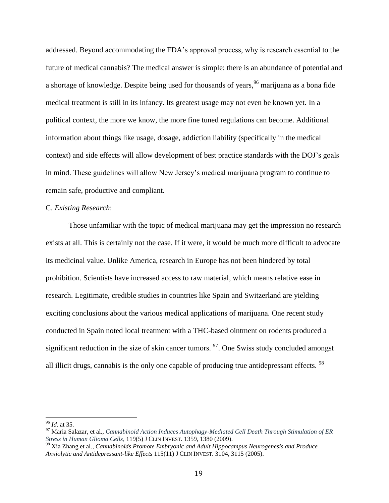addressed. Beyond accommodating the FDA's approval process, why is research essential to the future of medical cannabis? The medical answer is simple: there is an abundance of potential and a shortage of knowledge. Despite being used for thousands of years, <sup>96</sup> marijuana as a bona fide medical treatment is still in its infancy. Its greatest usage may not even be known yet. In a political context, the more we know, the more fine tuned regulations can become. Additional information about things like usage, dosage, addiction liability (specifically in the medical context) and side effects will allow development of best practice standards with the DOJ's goals in mind. These guidelines will allow New Jersey's medical marijuana program to continue to remain safe, productive and compliant.

## C. *Existing Research*:

Those unfamiliar with the topic of medical marijuana may get the impression no research exists at all. This is certainly not the case. If it were, it would be much more difficult to advocate its medicinal value. Unlike America, research in Europe has not been hindered by total prohibition. Scientists have increased access to raw material, which means relative ease in research. Legitimate, credible studies in countries like Spain and Switzerland are yielding exciting conclusions about the various medical applications of marijuana. One recent study conducted in Spain noted local treatment with a THC-based ointment on rodents produced a significant reduction in the size of skin cancer tumors.  $\frac{97}{2}$ . One Swiss study concluded amongst all illicit drugs, cannabis is the only one capable of producing true antidepressant effects. <sup>98</sup>

<sup>96</sup> *Id.* at 35.

<sup>97</sup> Maria Salazar, et al., *Cannabinoid Action Induces Autophagy-Mediated Cell Death Through Stimulation of ER Stress in Human Glioma Cells*, 119(5) J CLIN INVEST. 1359, 1380 (2009).

<sup>98</sup> Xia Zhang et al., *Cannabinoids Promote Embryonic and Adult Hippocampus Neurogenesis and Produce Anxiolytic and Antidepressant-like Effects* 115(11) J CLIN INVEST. 3104, 3115 (2005).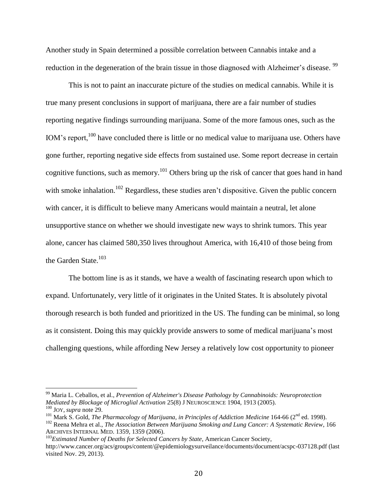Another study in Spain determined a possible correlation between Cannabis intake and a reduction in the degeneration of the brain tissue in those diagnosed with Alzheimer's disease. <sup>99</sup>

This is not to paint an inaccurate picture of the studies on medical cannabis. While it is true many present conclusions in support of marijuana, there are a fair number of studies reporting negative findings surrounding marijuana. Some of the more famous ones, such as the IOM's report,<sup>100</sup> have concluded there is little or no medical value to marijuana use. Others have gone further, reporting negative side effects from sustained use. Some report decrease in certain cognitive functions, such as memory.<sup>101</sup> Others bring up the risk of cancer that goes hand in hand with smoke inhalation.<sup>102</sup> Regardless, these studies aren't dispositive. Given the public concern with cancer, it is difficult to believe many Americans would maintain a neutral, let alone unsupportive stance on whether we should investigate new ways to shrink tumors. This year alone, cancer has claimed 580,350 lives throughout America, with 16,410 of those being from the Garden State.<sup>103</sup>

The bottom line is as it stands, we have a wealth of fascinating research upon which to expand. Unfortunately, very little of it originates in the United States. It is absolutely pivotal thorough research is both funded and prioritized in the US. The funding can be minimal, so long as it consistent. Doing this may quickly provide answers to some of medical marijuana's most challenging questions, while affording New Jersey a relatively low cost opportunity to pioneer

<sup>99</sup> Maria L. Ceballos, et al., *Prevention of Alzheimer's Disease Pathology by Cannabinoids: Neuroprotection Mediated by Blockage of Microglial Activation* 25(8) J NEUROSCIENCE 1904, 1913 (2005). <sup>100</sup> JOY, *supra* note 29.

<sup>&</sup>lt;sup>101</sup> Mark S. Gold, *The Pharmacology of Marijuana, in Principles of Addiction Medicine* 164-66 (2<sup>nd</sup> ed. 1998).

<sup>102</sup> Reena Mehra et al., *The Association Between Marijuana Smoking and Lung Cancer: A Systematic Review*, 166 ARCHIVES INTERNAL MED. 1359, 1359 (2006).

<sup>103</sup>*Estimated Number of Deaths for Selected Cancers by State*, American Cancer Society, http://www.cancer.org/acs/groups/content/@epidemiologysurveilance/documents/document/acspc-037128.pdf (last visited Nov. 29, 2013).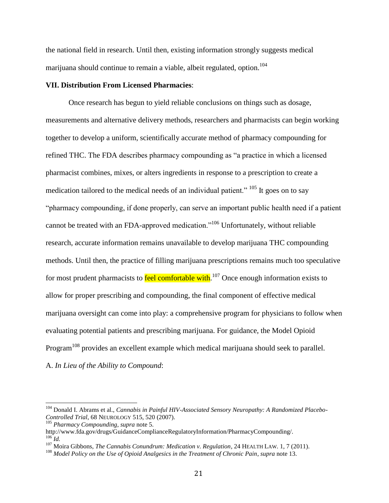the national field in research. Until then, existing information strongly suggests medical marijuana should continue to remain a viable, albeit regulated, option.<sup>104</sup>

## **VII. Distribution From Licensed Pharmacies**:

Once research has begun to yield reliable conclusions on things such as dosage, measurements and alternative delivery methods, researchers and pharmacists can begin working together to develop a uniform, scientifically accurate method of pharmacy compounding for refined THC. The FDA describes pharmacy compounding as "a practice in which a licensed pharmacist combines, mixes, or alters ingredients in response to a prescription to create a medication tailored to the medical needs of an individual patient." <sup>105</sup> It goes on to say "pharmacy compounding, if done properly, can serve an important public health need if a patient cannot be treated with an FDA-approved medication."<sup>106</sup> Unfortunately, without reliable research, accurate information remains unavailable to develop marijuana THC compounding methods. Until then, the practice of filling marijuana prescriptions remains much too speculative for most prudent pharmacists to **feel comfortable with**.<sup>107</sup> Once enough information exists to allow for proper prescribing and compounding, the final component of effective medical marijuana oversight can come into play: a comprehensive program for physicians to follow when evaluating potential patients and prescribing marijuana. For guidance, the Model Opioid Program<sup>108</sup> provides an excellent example which medical marijuana should seek to parallel. A. *In Lieu of the Ability to Compound*:

<sup>104</sup> Donald I. Abrams et al., *Cannabis in Painful HIV-Associated Sensory Neuropathy: A Randomized Placebo-Controlled Trial*, 68 NEUROLOGY 515, 520 (2007).

<sup>105</sup> *Pharmacy Compounding*, *supra* note 5.

http://www.fda.gov/drugs/GuidanceComplianceRegulatoryInformation/PharmacyCompounding/.  $106$  *Id.* 

<sup>107</sup> Moira Gibbons, *The Cannabis Conundrum: Medication v. Regulation*, 24 HEALTH LAW. 1, 7 (2011).

<sup>108</sup> *Model Policy on the Use of Opioid Analgesics in the Treatment of Chronic Pain*, *supra* note 13.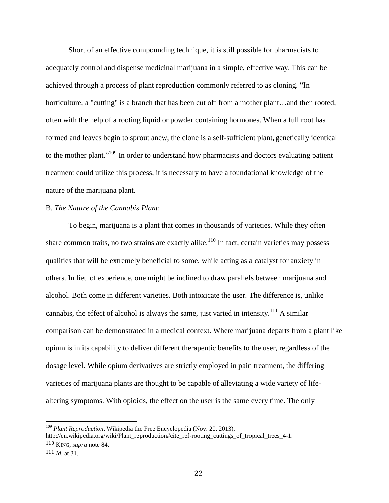Short of an effective compounding technique, it is still possible for pharmacists to adequately control and dispense medicinal marijuana in a simple, effective way. This can be achieved through a process of plant reproduction commonly referred to as cloning. "In horticulture, a "cutting" is a branch that has been cut off from a mother plant...and then rooted, often with the help of a [rooting liquid or powder](http://en.wikipedia.org/wiki/Rooting_powder) containing [hormones.](http://en.wikipedia.org/wiki/Plant_hormone) When a full root has formed and leaves begin to sprout anew, the clone is a self-sufficient plant, genetically identical to the mother plant."<sup>109</sup> In order to understand how pharmacists and doctors evaluating patient treatment could utilize this process, it is necessary to have a foundational knowledge of the nature of the marijuana plant.

## B. *The Nature of the Cannabis Plant*:

To begin, marijuana is a plant that comes in thousands of varieties. While they often share common traits, no two strains are exactly alike.<sup>110</sup> In fact, certain varieties may possess qualities that will be extremely beneficial to some, while acting as a catalyst for anxiety in others. In lieu of experience, one might be inclined to draw parallels between marijuana and alcohol. Both come in different varieties. Both intoxicate the user. The difference is, unlike cannabis, the effect of alcohol is always the same, just varied in intensity.<sup>111</sup> A similar comparison can be demonstrated in a medical context. Where marijuana departs from a plant like opium is in its capability to deliver different therapeutic benefits to the user, regardless of the dosage level. While opium derivatives are strictly employed in pain treatment, the differing varieties of marijuana plants are thought to be capable of alleviating a wide variety of lifealtering symptoms. With opioids, the effect on the user is the same every time. The only

l

<sup>109</sup> *Plant Reproduction*, Wikipedia the Free Encyclopedia (Nov. 20, 2013),

http://en.wikipedia.org/wiki/Plant\_reproduction#cite\_ref-rooting\_cuttings\_of\_tropical\_trees\_4-1. 110 KING, *supra* note 84.

<sup>111</sup> *Id.* at 31.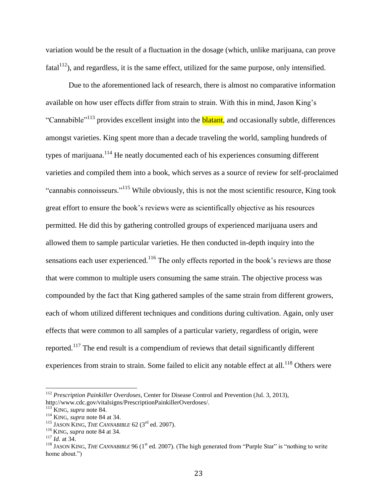variation would be the result of a fluctuation in the dosage (which, unlike marijuana, can prove fatal<sup>112</sup>), and regardless, it is the same effect, utilized for the same purpose, only intensified.

Due to the aforementioned lack of research, there is almost no comparative information available on how user effects differ from strain to strain. With this in mind, Jason King's "Cannabible"<sup>113</sup> provides excellent insight into the **blatant**, and occasionally subtle, differences amongst varieties. King spent more than a decade traveling the world, sampling hundreds of types of marijuana.<sup>114</sup> He neatly documented each of his experiences consuming different varieties and compiled them into a book, which serves as a source of review for self-proclaimed "cannabis connoisseurs."<sup>115</sup> While obviously, this is not the most scientific resource, King took great effort to ensure the book's reviews were as scientifically objective as his resources permitted. He did this by gathering controlled groups of experienced marijuana users and allowed them to sample particular varieties. He then conducted in-depth inquiry into the sensations each user experienced.<sup>116</sup> The only effects reported in the book's reviews are those that were common to multiple users consuming the same strain. The objective process was compounded by the fact that King gathered samples of the same strain from different growers, each of whom utilized different techniques and conditions during cultivation. Again, only user effects that were common to all samples of a particular variety, regardless of origin, were reported.<sup>117</sup> The end result is a compendium of reviews that detail significantly different experiences from strain to strain. Some failed to elicit any notable effect at all.<sup>118</sup> Others were

<sup>112</sup> *Prescription Painkiller Overdoses*, Center for Disease Control and Prevention (Jul. 3, 2013), http://www.cdc.gov/vitalsigns/PrescriptionPainkillerOverdoses/.

<sup>113</sup> KING, *supra* note 84.

<sup>114</sup> KING, *supra* note 84 at 34.

<sup>&</sup>lt;sup>115</sup> JASON KING, *THE CANNABIBLE* 62 ( $3<sup>rd</sup>$  ed. 2007).

<sup>116</sup> KING, *supra* note 84 at 34.

<sup>117</sup> *Id.* at 34.

<sup>&</sup>lt;sup>118</sup> JASON KING, *THE CANNABIBLE* 96 (1<sup>st</sup> ed. 2007). (The high generated from "Purple Star" is "nothing to write home about.")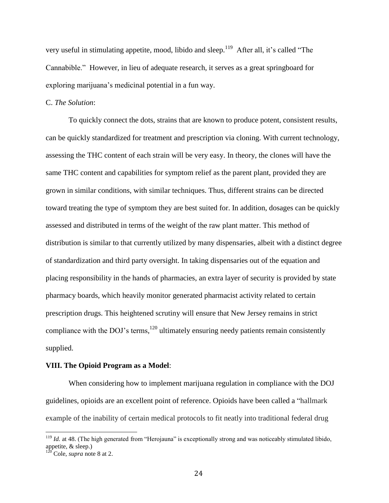very useful in stimulating appetite, mood, libido and sleep.<sup>119</sup> After all, it's called "The Cannabible." However, in lieu of adequate research, it serves as a great springboard for exploring marijuana's medicinal potential in a fun way.

## C. *The Solution*:

To quickly connect the dots, strains that are known to produce potent, consistent results, can be quickly standardized for treatment and prescription via cloning. With current technology, assessing the THC content of each strain will be very easy. In theory, the clones will have the same THC content and capabilities for symptom relief as the parent plant, provided they are grown in similar conditions, with similar techniques. Thus, different strains can be directed toward treating the type of symptom they are best suited for. In addition, dosages can be quickly assessed and distributed in terms of the weight of the raw plant matter. This method of distribution is similar to that currently utilized by many dispensaries, albeit with a distinct degree of standardization and third party oversight. In taking dispensaries out of the equation and placing responsibility in the hands of pharmacies, an extra layer of security is provided by state pharmacy boards, which heavily monitor generated pharmacist activity related to certain prescription drugs. This heightened scrutiny will ensure that New Jersey remains in strict compliance with the DOJ's terms,  $120$  ultimately ensuring needy patients remain consistently supplied.

## **VIII. The Opioid Program as a Model**:

When considering how to implement marijuana regulation in compliance with the DOJ guidelines, opioids are an excellent point of reference. Opioids have been called a "hallmark example of the inability of certain medical protocols to fit neatly into traditional federal drug

<sup>&</sup>lt;sup>119</sup> *Id.* at 48. (The high generated from "Herojauna" is exceptionally strong and was noticeably stimulated libido, appetite, & sleep.)

 $^{120}$  Cole, *supra* note 8 at 2.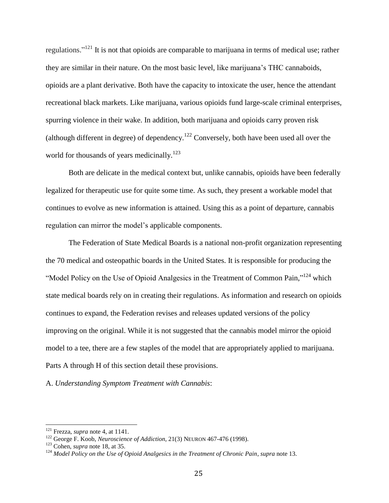regulations."<sup>121</sup> It is not that opioids are comparable to marijuana in terms of medical use; rather they are similar in their nature. On the most basic level, like marijuana's THC cannaboids, opioids are a plant derivative. Both have the capacity to intoxicate the user, hence the attendant recreational black markets. Like marijuana, various opioids fund large-scale criminal enterprises, spurring violence in their wake. In addition, both marijuana and opioids carry proven risk (although different in degree) of dependency.<sup>122</sup> Conversely, both have been used all over the world for thousands of years medicinally.<sup>123</sup>

Both are delicate in the medical context but, unlike cannabis, opioids have been federally legalized for therapeutic use for quite some time. As such, they present a workable model that continues to evolve as new information is attained. Using this as a point of departure, cannabis regulation can mirror the model's applicable components.

The Federation of State Medical Boards is a national non-profit organization representing the 70 medical and osteopathic boards in the United States. It is responsible for producing the "Model Policy on the Use of Opioid Analgesics in the Treatment of Common Pain,"<sup>124</sup> which state medical boards rely on in creating their regulations. As information and research on opioids continues to expand, the Federation revises and releases updated versions of the policy improving on the original. While it is not suggested that the cannabis model mirror the opioid model to a tee, there are a few staples of the model that are appropriately applied to marijuana. Parts A through H of this section detail these provisions.

A. *Understanding Symptom Treatment with Cannabis*:

<sup>121</sup> Frezza, *supra* note 4, at 1141.

<sup>122</sup> George F. Koob, *Neuroscience of Addiction*, 21(3) NEURON 467-476 (1998).

<sup>123</sup> Cohen, *supra* note 18, at 35.

<sup>124</sup> *Model Policy on the Use of Opioid Analgesics in the Treatment of Chronic Pain*, *supra* note 13.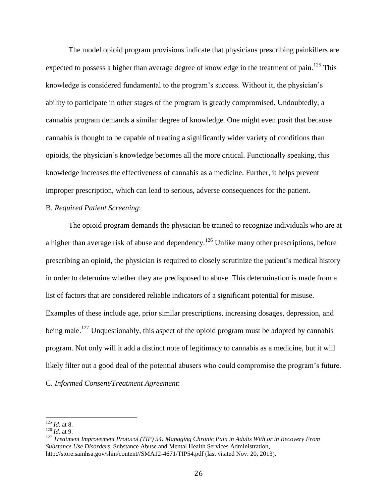The model opioid program provisions indicate that physicians prescribing painkillers are expected to possess a higher than average degree of knowledge in the treatment of pain.<sup>125</sup> This knowledge is considered fundamental to the program's success. Without it, the physician's ability to participate in other stages of the program is greatly compromised. Undoubtedly, a cannabis program demands a similar degree of knowledge. One might even posit that because cannabis is thought to be capable of treating a significantly wider variety of conditions than opioids, the physician's knowledge becomes all the more critical. Functionally speaking, this knowledge increases the effectiveness of cannabis as a medicine. Further, it helps prevent improper prescription, which can lead to serious, adverse consequences for the patient.

## B. *Required Patient Screening*:

The opioid program demands the physician be trained to recognize individuals who are at a higher than average risk of abuse and dependency.<sup>126</sup> Unlike many other prescriptions, before prescribing an opioid, the physician is required to closely scrutinize the patient's medical history in order to determine whether they are predisposed to abuse. This determination is made from a list of factors that are considered reliable indicators of a significant potential for misuse. Examples of these include age, prior similar prescriptions, increasing dosages, depression, and being male.<sup>127</sup> Unquestionably, this aspect of the opioid program must be adopted by cannabis program. Not only will it add a distinct note of legitimacy to cannabis as a medicine, but it will likely filter out a good deal of the potential abusers who could compromise the program's future. C. *Informed Consent/Treatment Agreement*:

<sup>125</sup> *Id.* at 8.

<sup>126</sup> *Id.* at 9.

<sup>127</sup> *Treatment Improvement Protocol (TIP) 54: Managing Chronic Pain in Adults With or in Recovery From Substance Use Disorders*, Substance Abuse and Mental Health Services Administration, http://store.samhsa.gov/shin/content//SMA12-4671/TIP54.pdf (last visited Nov. 20, 2013).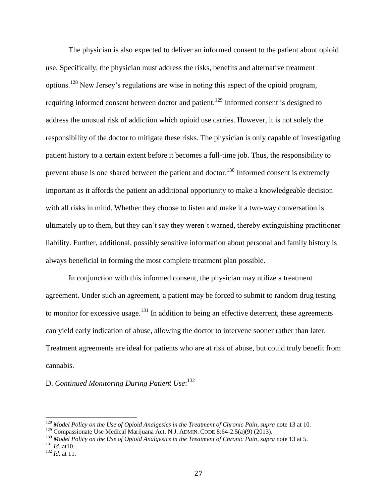The physician is also expected to deliver an informed consent to the patient about opioid use. Specifically, the physician must address the risks, benefits and alternative treatment options.<sup>128</sup> New Jersey's regulations are wise in noting this aspect of the opioid program, requiring informed consent between doctor and patient.<sup>129</sup> Informed consent is designed to address the unusual risk of addiction which opioid use carries. However, it is not solely the responsibility of the doctor to mitigate these risks. The physician is only capable of investigating patient history to a certain extent before it becomes a full-time job. Thus, the responsibility to prevent abuse is one shared between the patient and doctor.<sup>130</sup> Informed consent is extremely important as it affords the patient an additional opportunity to make a knowledgeable decision with all risks in mind. Whether they choose to listen and make it a two-way conversation is ultimately up to them, but they can't say they weren't warned, thereby extinguishing practitioner liability. Further, additional, possibly sensitive information about personal and family history is always beneficial in forming the most complete treatment plan possible.

In conjunction with this informed consent, the physician may utilize a treatment agreement. Under such an agreement, a patient may be forced to submit to random drug testing to monitor for excessive usage.<sup>131</sup> In addition to being an effective deterrent, these agreements can yield early indication of abuse, allowing the doctor to intervene sooner rather than later. Treatment agreements are ideal for patients who are at risk of abuse, but could truly benefit from cannabis.

# D. *Continued Monitoring During Patient Use*: 132

<sup>128</sup> *Model Policy on the Use of Opioid Analgesics in the Treatment of Chronic Pain*, *supra* note 13 at 10.

<sup>&</sup>lt;sup>129</sup> Compassionate Use Medical Marijuana Act, N.J. ADMIN. CODE 8:64-2.5(a)(9) (2013).

<sup>&</sup>lt;sup>130</sup> Model Policy on the Use of Opioid Analgesics in the Treatment of Chronic Pain, *supra* note 13 at 5.

<sup>131</sup> *Id.* at10.

<sup>132</sup> *Id.* at 11.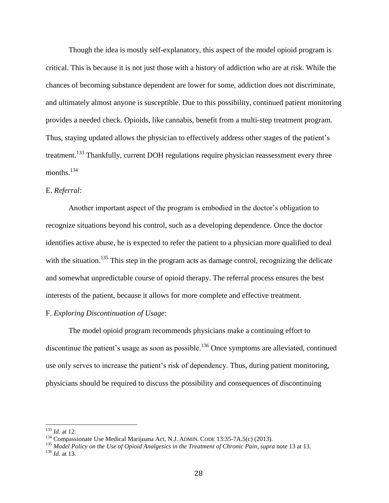Though the idea is mostly self-explanatory, this aspect of the model opioid program is critical. This is because it is not just those with a history of addiction who are at risk. While the chances of becoming substance dependent are lower for some, addiction does not discriminate, and ultimately almost anyone is susceptible. Due to this possibility, continued patient monitoring provides a needed check. Opioids, like cannabis, benefit from a multi-step treatment program. Thus, staying updated allows the physician to effectively address other stages of the patient's treatment.<sup>133</sup> Thankfully, current DOH regulations require physician reassessment every three months. $134$ 

## E. *Referral*:

Another important aspect of the program is embodied in the doctor's obligation to recognize situations beyond his control, such as a developing dependence. Once the doctor identifies active abuse, he is expected to refer the patient to a physician more qualified to deal with the situation.<sup>135</sup> This step in the program acts as damage control, recognizing the delicate and somewhat unpredictable course of opioid therapy. The referral process ensures the best interests of the patient, because it allows for more complete and effective treatment.

## F. *Exploring Discontinuation of Usage*:

The model opioid program recommends physicians make a continuing effort to discontinue the patient's usage as soon as possible.<sup>136</sup> Once symptoms are alleviated, continued use only serves to increase the patient's risk of dependency. Thus, during patient monitoring, physicians should be required to discuss the possibility and consequences of discontinuing

<sup>133</sup> *Id.* at 12.

<sup>&</sup>lt;sup>134</sup> Compassionate Use Medical Marijuana Act, N.J. ADMIN. CODE 13:35-7A.5(c) (2013).

<sup>135</sup> *Model Policy on the Use of Opioid Analgesics in the Treatment of Chronic Pain*, *supra* note 13 at 13. <sup>136</sup> *Id.* at 13.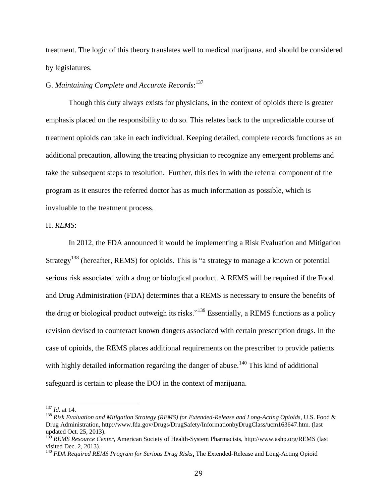treatment. The logic of this theory translates well to medical marijuana, and should be considered by legislatures.

# G. *Maintaining Complete and Accurate Records*: 137

Though this duty always exists for physicians, in the context of opioids there is greater emphasis placed on the responsibility to do so. This relates back to the unpredictable course of treatment opioids can take in each individual. Keeping detailed, complete records functions as an additional precaution, allowing the treating physician to recognize any emergent problems and take the subsequent steps to resolution. Further, this ties in with the referral component of the program as it ensures the referred doctor has as much information as possible, which is invaluable to the treatment process.

## H. *REMS*:

In 2012, the FDA announced it would be implementing a Risk Evaluation and Mitigation Strategy<sup>138</sup> (hereafter, REMS) for opioids. This is "a strategy to manage a known or potential serious risk associated with a drug or biological product. A REMS will be required if the Food and Drug Administration (FDA) determines that a REMS is necessary to ensure the benefits of the drug or biological product outweigh its risks."<sup>139</sup> Essentially, a REMS functions as a policy revision devised to counteract known dangers associated with certain prescription drugs. In the case of opioids, the REMS places additional requirements on the prescriber to provide patients with highly detailed information regarding the danger of abuse.<sup>140</sup> This kind of additional safeguard is certain to please the DOJ in the context of marijuana.

<sup>137</sup> *Id.* at 14.

<sup>138</sup> *Risk Evaluation and Mitigation Strategy (REMS) for Extended-Release and Long-Acting Opioids*, U.S. Food & Drug Administration, http://www.fda.gov/Drugs/DrugSafety/InformationbyDrugClass/ucm163647.htm. (last updated Oct. 25, 2013).

<sup>139</sup> *REMS Resource Center*, American Society of Health-System Pharmacists, http://www.ashp.org/REMS (last visited Dec. 2, 2013).

<sup>140</sup> *FDA Required REMS Program for Serious Drug Risks*, The Extended-Release and Long-Acting Opioid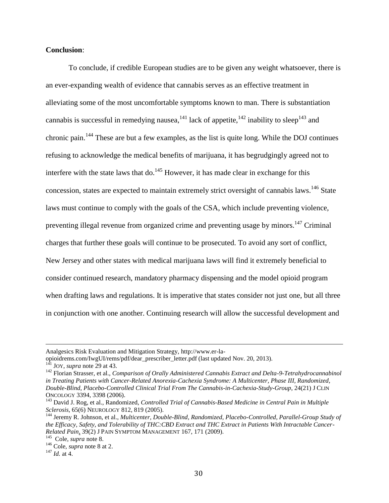## **Conclusion**:

To conclude, if credible European studies are to be given any weight whatsoever, there is an ever-expanding wealth of evidence that cannabis serves as an effective treatment in alleviating some of the most uncomfortable symptoms known to man. There is substantiation cannabis is successful in remedying nausea,  $^{141}$  lack of appetite,  $^{142}$  inability to sleep  $^{143}$  and chronic pain.<sup>144</sup> These are but a few examples, as the list is quite long. While the DOJ continues refusing to acknowledge the medical benefits of marijuana, it has begrudgingly agreed not to interfere with the state laws that do.<sup>145</sup> However, it has made clear in exchange for this concession, states are expected to maintain extremely strict oversight of cannabis laws.<sup>146</sup> State laws must continue to comply with the goals of the CSA, which include preventing violence, preventing illegal revenue from organized crime and preventing usage by minors.<sup>147</sup> Criminal charges that further these goals will continue to be prosecuted. To avoid any sort of conflict, New Jersey and other states with medical marijuana laws will find it extremely beneficial to consider continued research, mandatory pharmacy dispensing and the model opioid program when drafting laws and regulations. It is imperative that states consider not just one, but all three in conjunction with one another. Continuing research will allow the successful development and

Analgesics Risk Evaluation and Mitigation Strategy, http://www.er-la-

opioidrems.com/IwgUI/rems/pdf/dear\_prescriber\_letter.pdf (last updated Nov. 20, 2013). <sup>141</sup> JOY, *supra* note 29 at 43.

<sup>142</sup> Florian Strasser, et al., *Comparison of Orally Administered Cannabis Extract and Delta-9-Tetrahydrocannabinol in Treating Patients with Cancer-Related Anorexia-Cachexia Syndrome: A Multicenter, Phase III, Randomized, Double-Blind, Placebo-Controlled Clinical Trial From The Cannabis-in-Cachexia-Study-Group*, 24(21) J CLIN ONCOLOGY 3394, 3398 (2006).

<sup>143</sup> David J. Rog, et al., Randomized, *Controlled Trial of Cannabis-Based Medicine in Central Pain in Multiple Sclerosis*, 65(6) NEUROLOGY 812, 819 (2005).

<sup>144</sup> Jeremy R. Johnson, et al., *Multicenter, Double-Blind, Randomized, Placebo-Controlled, Parallel-Group Study of the Efficacy, Safety, and Tolerability of THC:CBD Extract and THC Extract in Patients With Intractable Cancer-Related Pain*, 39(2) J PAIN SYMPTOM MANAGEMENT 167, 171 (2009).

<sup>145</sup> Cole, *supra* [note 8.](http://www.justice.gov/iso/opa/resources/3052013829132756857467.pdf)

<sup>146</sup> Cole, *supra* note 8 at 2.

<sup>147</sup> *Id.* at 4.